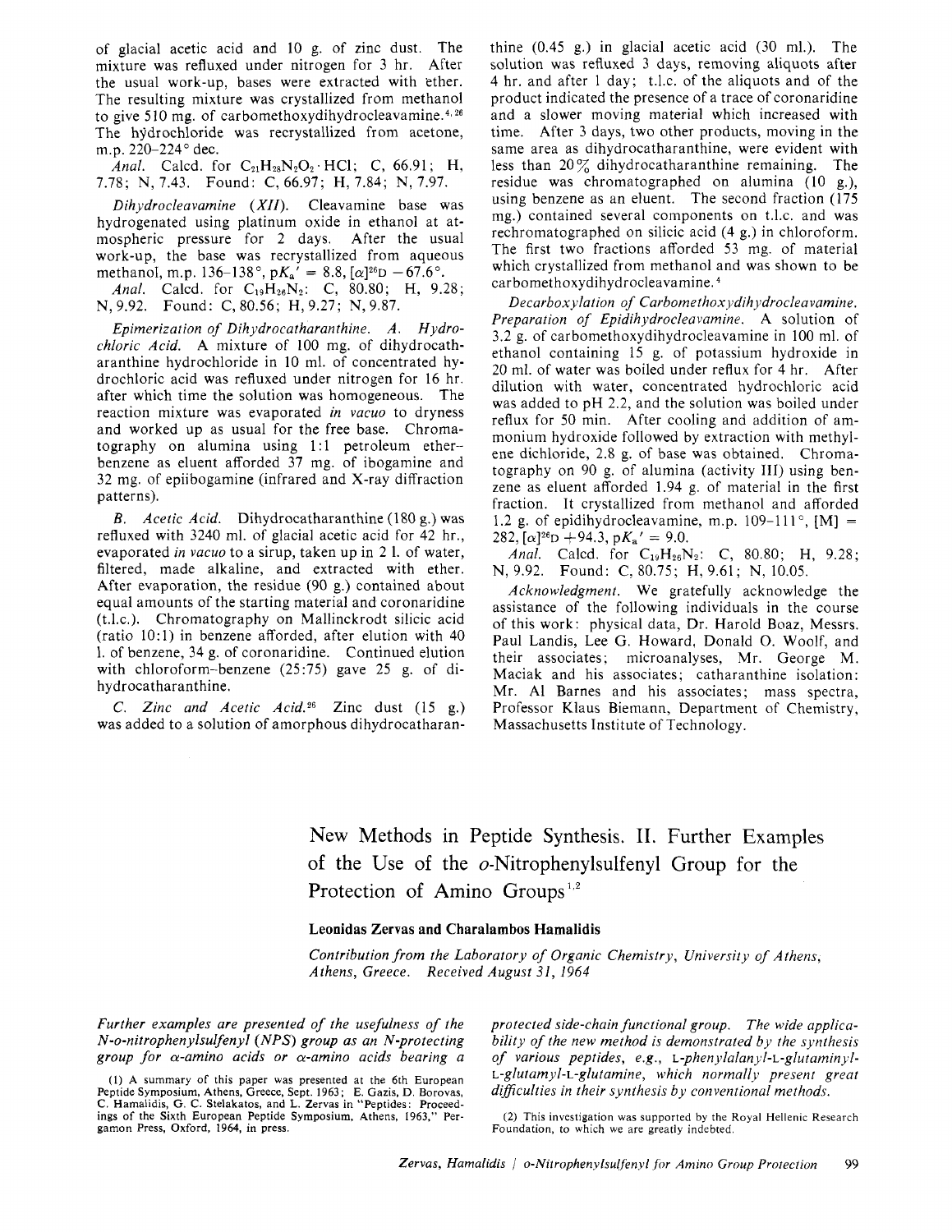of glacial acetic acid and 10 g. of zinc dust. The mixture was refluxed under nitrogen for 3 hr. After the usual work-up, bases were extracted with ether. The resulting mixture was crystallized from methanol to give 5 10 mg. of **carbomethoxydihydrocleavamine.4~26**  The hydrochloride was recrystallized from acetone, m.p. 220-224° dec.

Anal. Calcd. for  $C_{21}H_{28}N_2O_2 \cdot HCl$ ; C, 66.91; H, 7.78; N, 7.43. Found: C, 66.97; H, 7.84; N, 7.97.

*Dihydrocleavamine (XII)*. Cleavamine base was hydrogenated using platinum oxide in ethanol at atmospheric pressure for 2 days. After the usual work-up, the base was recrystallized from aqueous methanol, m.p. 136-138°, p $K_a' = 8.8$ ,  $[\alpha]^{26}D - 67.6$ °.

Anal. Calcd. for C<sub>19</sub>H<sub>26</sub>N<sub>2</sub>: C, 80.80; H, 9.28; N,9.92. Found: C, 80.56; H,9.27; N,9.87.

*Epimerization of Dihydrocatharanthine. A. Hydrochloric Acid.* A mixture of 100 mg. of dihydrocatharanthine hydrochloride in 10 ml. of concentrated hydrochloric acid was refluxed under nitrogen for 16 hr. after which time the solution was homogeneous. The reaction mixture was evaporated *in vacuo* to dryness and worked up as usual for the free base. Chromatography on alumina using 1:l petroleum etherbenzene as eluent afforded 37 mg. of ibogamine and 32 mg. of epiibogamine (infrared and X-ray diffraction patterns).

*B. Acetic Acid.* Dihydrocatharanthine (180 g.) was refluxed with 3240 ml. of glacial acetic acid for 42 hr., evaporated *in vacuo* to a sirup, taken up in 2 1. of water, filtered, made alkaline, and extracted with ether. After evaporation, the residue (90 8.) contained about equal amounts of the starting material and coronaridine (t.1.c.). Chromatography on Mallinckrodt silicic acid (ratio 1O:l) in benzene afforded, after elution with 40 1. of benzene, 34 g. of coronaridine. Continued elution with chloroform-benzene (25:75) gave 25 g. of dihydrocatharanthine.

*C. Zinc and Acetic Acid.26* Zinc dust (15 g.) was added to a solution of amorphous dihydrocatharanthine (0.45 g.) in glacial acetic acid (30 ml.). The solution was refluxed 3 days, removing aliquots after 4 hr. and after 1 day; t.1.c. of the aliquots and of the product indicated the presence of a trace of coronaridine and a slower moving material which increased with time. After 3 days, two other products, moving in the same area as dihydrocatharanthine, were evident with less than  $20\%$  dihydrocatharanthine remaining. The residue was chromatographed on alumina (10 g.), using benzene as an eluent. The second fraction (175 mg.) contained several components on t.1.c. and was rechromatographed on silicic acid (4 g.) in chloroform. The first two fractions afforded 53 mg. of material which crystallized from methanol and was shown to be carbomethoxydihydrocleavamine.

*Decarboxylation of Carbomethoxydihydrocleavamine. Preparation of Epidihydrocleavamine.* A solution of 3.2 g. of carbomethoxydihydrocleavamine in 100 ml. of ethanol containing 15 g. of potassium hydroxide in 20 ml. of water was boiled under reflux for 4 hr. After dilution with water, concentrated hydrochloric acid was added to pH 2.2, and the solution was boiled under reflux for 50 min. After cooling and addition of ammonium hydroxide followed by extraction with methylene dichloride, 2.8 g. of base was obtained. Chromatography on 90 g. of alumina (activity 111) using benzene as eluent afforded 1.94 g. of material in the first fraction. It crystallized from methanol and afforded 1.2 g. of epidihydrocleavamine, m.p. 109-111°,  $[M] =$ 282,  $[\alpha]^{26}D + 94.3$ ,  $pK_a' = 9.0$ .

*Anal.* Calcd. for  $C_{19}H_{26}N_2$ : C, 80.80; H, 9.28; N, 9.92. Found: C, 80.75; H, 9.61; N, 10.05.

*Acknowledgment.* We gratefully acknowledge the assistance of the following individuals in the course of this work: physical data, Dr. Harold Boaz, Messrs. Paul Landis, Lee G. Howard, Donald 0. Woolf, and their associates; microanalyses, Mr. George M. Maciak and his associates; catharanthine isolation: Mr. A1 Barnes and his associates; mass spectra, Professor Klaus Biemann, Department of Chemistry, Massachusetts Institute of Technology.

New Methods in Peptide Synthesis. 11. Further Examples of the Use of the o-Nitrophenylsulfeny1 Group for the Protection of Amino Groups<sup>1,2</sup>

## **Leonidas Zervas and Charalambos Hamalidis**

*Contribution from the Laboratory of Organic Chemistry, University of Athens, Athens, Greece. Received August 31, 1964* 

*Further examples are presented of the usefulness of the N-o-nitrophenylsulfenyl (NPS) group as an N-protecting group for a-amino acids or a-amino acids bearing a* 

(1) **A** summary of this paper was presented at the 6th European Peptide Symposium, Athens, Greece, Sept. 1963 ; E. Gazis, D. Borovas, C. Hamalidis, G. C. Stelakatos, and L. Zervas in "Peptides: Proceedings of the Sixth European Peptide Symposium, Athens, 1963," Pergamon Press, Oxford, 1964, in press.

*protected side-chain functional group. The wide applicability of the new method is demonstrated by the synthesis*  of various peptides, e.g., L-phenylalanyl-L-glutaminyl-*L-glutamyl-L-glutamine~ which present great diflculties in their synthesis by conventional methods.* 

Foundation, to which we are greatly indebted. (2) This investigation was supported by the Royal Hellenic Research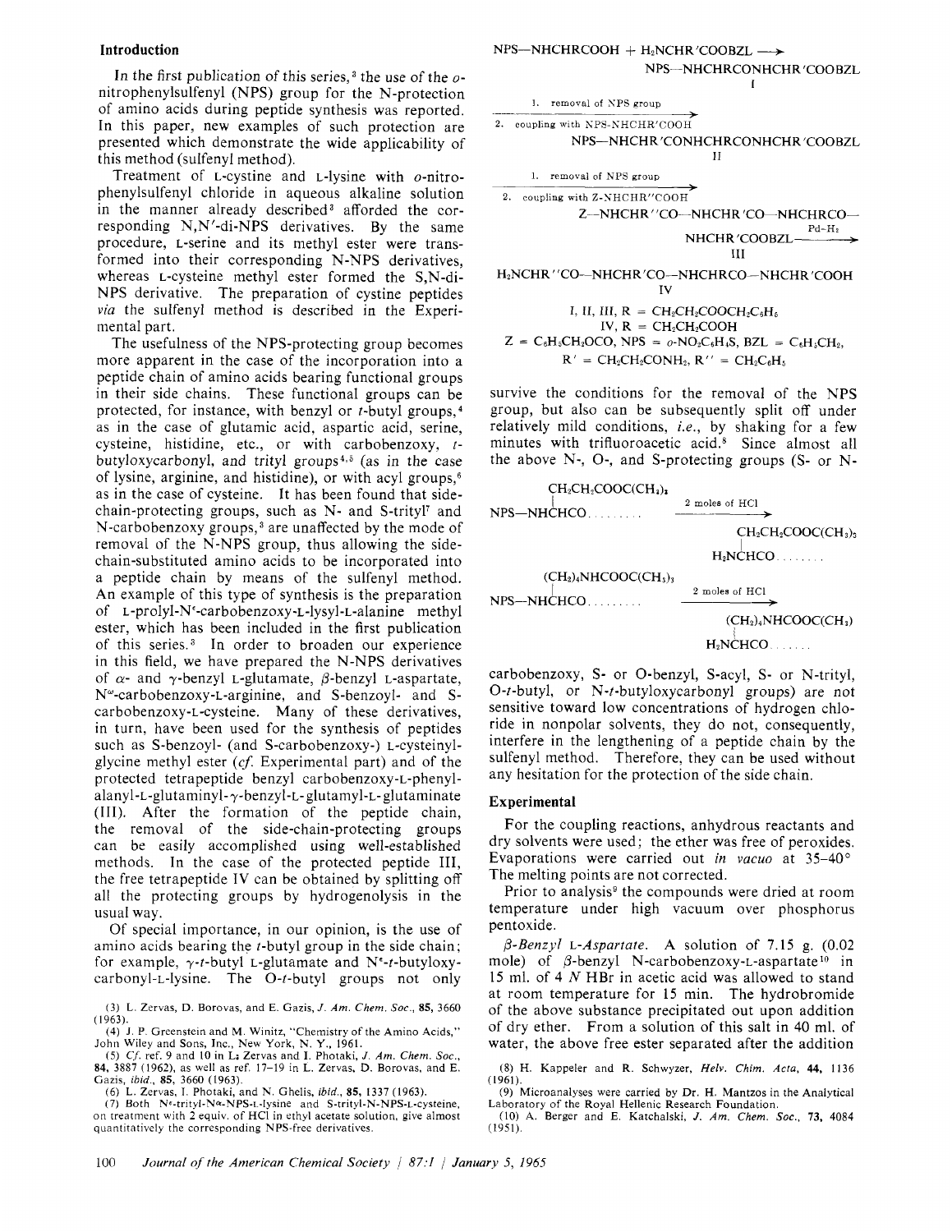In the first publication of this series,<sup>3</sup> the use of the *o*nitrophenylsulfenyl (NPS) group for the N-protection of amino acids during peptide synthesis was reported. In this paper, new examples of such protection are presented which demonstrate the wide applicability of this method (sulfenyl method).

Treatment of L-cystine and L-lysine with o-nitrophenylsulfenyl chloride in aqueous alkaline solution in the manner already described<sup>3</sup> afforded the corresponding N,N'-di-NPS derivatives. By the same procedure, L-serine and its methyl ester were transformed into their corresponding N-NPS derivatives, whereas L-cysteine methyl ester formed the S,N-di-NPS derivative. The preparation of cystine peptides via the sulfenyl method is described in the Experimental part.

The usefulness of the NPS-protecting group becomes more apparent in the case of the incorporation into a peptide chain of amino acids bearing functional groups in their side chains. These functional groups can be protected, for instance, with benzyl or  $t$ -butyl groups,<sup>4</sup> as in the case of glutamic acid, aspartic acid, serine, cysteine, histidine, etc., or with carbobenzoxy,  $t$ butyloxycarbonyl, and trityl groups<sup>4,5</sup> (as in the case of lysine, arginine, and histidine), or with acyl groups,6 as in the case of cysteine. It has been found that sidechain-protecting groups, such as N- and S-trityl' and N-carbobenzoxy groups,<sup>3</sup> are unaffected by the mode of removal of the N-NPS group, thus allowing the sidechain-substituted amino acids to be incorporated into a peptide chain by means of the sulfenyl method. An example of this type of synthesis is the preparation of **L-prolyl-Ne-carbobenzoxy-L-lysyl-L-alanine** methyl ester, which has been included in the first publication of this series.<sup>3</sup> In order to broaden our experience in this field, we have prepared the N-NPS derivatives of  $\alpha$ - and  $\gamma$ -benzyl L-glutamate,  $\beta$ -benzyl L-aspartate, N<sup>w</sup>-carbobenzoxy-L-arginine, and S-benzoyl- and Scarbobenzoxy-L-cysteine. Many of these derivatives, in turn, have been used for the synthesis of peptides such as S-benzoyl- (and S-carbobenzoxy-) L-cysteinylglycine methyl ester *(cf.* Experimental part) and of the protected tetrapeptide benzyl carbobenzoxy-L-phenyl**alanyl-L-glutaminyl-y-benzyl-t-glutamyl-L-** glutaminate (111). After the formation of the peptide chain, the removal of the side-chain-protecting groups can be easily accomplished using well-established methods. In the case of the protected peptide 111, the free tetrapeptide IV can be obtained by splitting off all the protecting groups by hydrogenolysis in the usual way.

Of special importance, in our opinion, is the use of amino acids bearing the t-butyl group in the side chain; for example,  $\gamma$ -t-butyl L-glutamate and N<sup>e</sup>-t-butyloxycarbonyl-L-lysine. The 0-t-butyl groups not only

(6) L. Zervas, I. Photaki, and N. Ghelis, *ibid.,* **85,** 1337 (1963). (7) Both Nf-trityl-Na-NPS-L-lysine and S-trityl-N-NPS-L-cysteine, on treatment with **2** equiv. of HCI in ethyl acetate solution, give almost quantitatively the corresponding NPS-free derivatives.



IV, R = 
$$
CH_2COOH
$$
  
\n $Z = C_6H_5CH_2OCO$ , NPS =  $o\text{-}NO_2C_6H_4S$ , BZL =  $C_6H_5CH_2$ , R' =  $CH_2CH_2COMH_2$ , R'' =  $CH_2C_6H_5$ 

survive the conditions for the removal of the NPS group, but also can be subsequently split off under relatively mild conditions, *i.e.,* by shaking for a few minutes with trifluoroacetic acid.8 Since almost all the above N-, 0-, and S-protecting groups (S- or N-



carbobenzoxy, **S-** or 0-benzyl, S-acyl, **S-** or N-trityl, 0-t-butyl, or N-t-butyloxycarbonyl groups) are not sensitive toward low concentrations of hydrogen chloride in nonpolar solvents, they do not, consequently, interfere in the lengthening of a peptide chain by the sulfenyl method. Therefore, they can be used without any hesitation for the protection of the side chain.

## Experimental

For the coupling reactions, anhydrous reactants and dry solvents were used; the ether was free of peroxides. Evaporations were carried out *in* vacuo at 35-40' The melting points are not corrected.

Prior to analysis<sup>9</sup> the compounds were dried at room temperature under high vacuum over phosphorus pentoxide.

A solution of 7.15 g. (0.02 *P-Benzyl* L-Aspartate. mole) of  $\beta$ -benzyl N-carbobenzoxy-L-aspartate<sup>10</sup> in 15 ml. of 4 *N* HBr in acetic acid was allowed to stand at room temperature for 15 min. The hydrobromide of the above substance precipitated out upon addition of dry ether. From a solution of this salt in 40 ml. of water, the above free ester separated after the addition

**<sup>(3)</sup> L.** Zervas, D. Borovas, and *E.* Gazis, *J. Am. Chem. Soc., 85,* 3660 (1963).

<sup>(4)</sup> **J.** P. Greenstein and **M.** Winitz, "Chemistry of the Amino Acids," John Wiley and Sons, Inc., New York, N. Y., 1961.

<sup>(5)</sup> *Cf.* ref. 9 and **IO** in L: Zervas and *I.* Photaki, *J. Am. Chem. Soc.,*  **84,** 3887 (1962), as well as ref. 17-19 in L. Zervas, D. Borovas, and **E.**  Cazis, *ibid.,* **85,** 3660 (1963).

<sup>(8)</sup> H. Kappeler and R. Schwyzer, *Helv. Chim. Acta,* **44,** 1136 (1961).

<sup>(9)</sup> Microanalyses were carried by Dr. H. Mantzos in the Analytical Laboratory of the Royal Hellenic Research Foundation.

<sup>(10)</sup> **A.** Berger and *E.* Katchalski, *J. Am. Chem. Soc., 73,* 4084 (1951).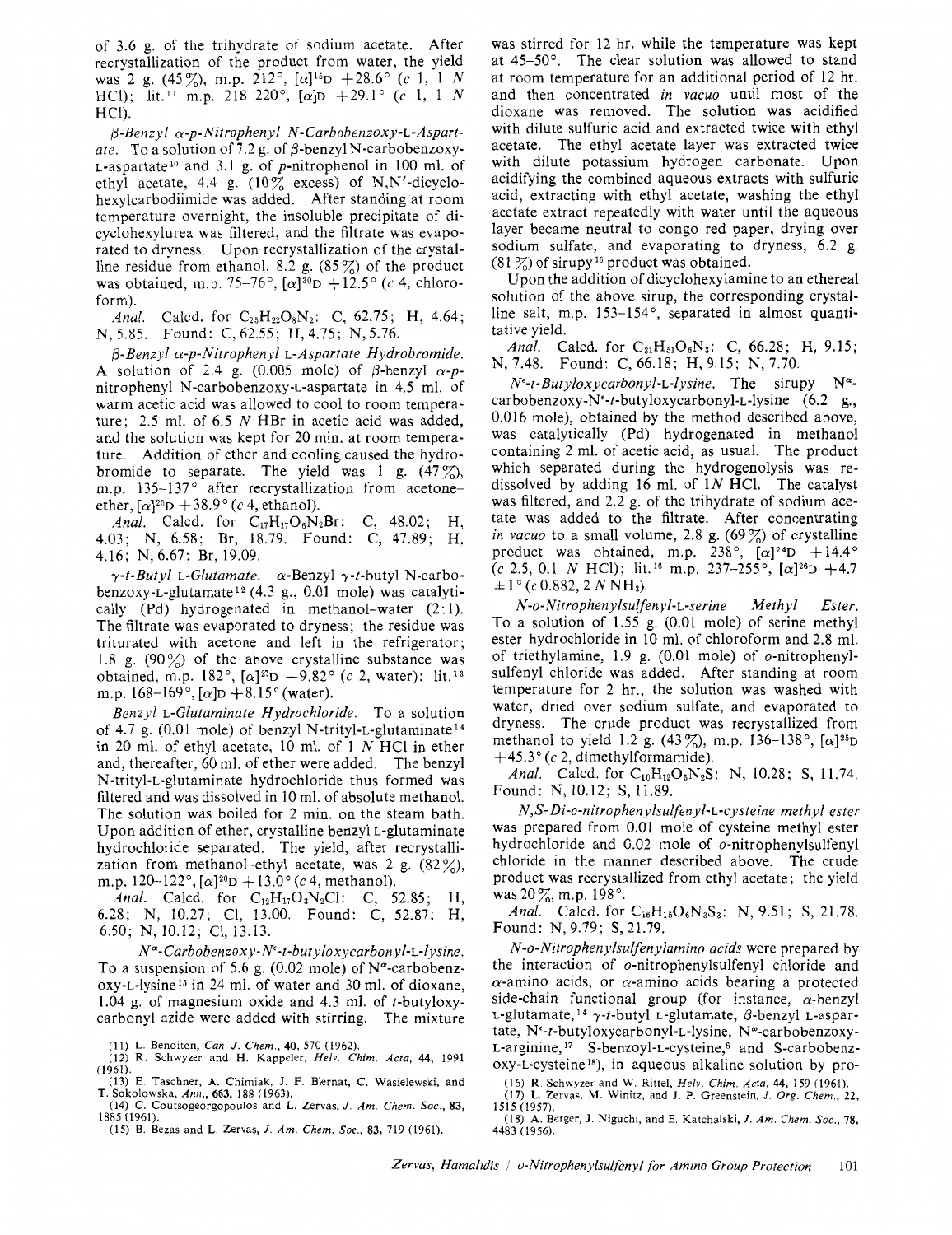of 3.6 g. of the trihydrate of sodium acetate. After recrystallization of the product from water, the yield was 2 g. (45%), m.p. 212°,  $[\alpha]^{15}D +28.6^{\circ}$  (c 1, 1 N HCl); lit.<sup>11</sup> m.p. 218-220°, [ $\alpha$ ]D +29.1° (c 1, 1 N HCl).

P-Benzyl a-p-Nitrophenyl *N-Carbobenzoxy-L-Aspart*ate. To a solution of 7.2 g. of  $\beta$ -benzyl N-carbobenzoxy- $L$ -aspartate<sup>10</sup> and 3.1 g. of p-nitrophenol in 100 ml. of ethyl acetate, 4.4 g.  $(10\%$  excess) of N,N'-dicyclohexylcarbodiimide was added. After standing at room temperature overnight, the insoluble precipitate of dicyclohexylurea was filtered, and the filtrate was evaporated to dryness. Upon recrystallization of the crystalline residue from ethanol, 8.2 g.  $(85\%)$  of the product was obtained, m.p. 75-76°,  $[\alpha]^{30}D +12.5$ ° (c 4, chloroform).

Anal. Calcd. for  $C_{25}H_{22}O_8N_2$ : C, 62.75; H, 4.64; N, 5.85. Found: C,62.55; H,4.75; N, 5.76.

 $\beta$ -Benzyl  $\alpha$ -p-Nitrophenyl L-Aspartate Hydrobromide. A solution of 2.4 g. (0.005 mole) of  $\beta$ -benzyl  $\alpha$ -pnitrophenyl N-carbobenzoxy-L-aspartate in *4.5* ml. of warm acetic acid was allowed to cool to room temperature; 2.5 ml. of 6.5 N HBr in acetic acid was added, and the solution was kept for 20 min. at room temperature. Addition of ether and cooling caused the hydrobromide to separate. The yield was 1 g.  $(47\%)$ , m.p. 135-137° after recrystallization from acetoneether,  $[\alpha]^{25}D + 38.9^{\circ}$  (c 4, ethanol).

Anal. Calcd. for  $C_{17}H_{17}O_6N_2Br$ : C, 48.02; H, 4.03; N, 6.58; Br, 18.79. Found: C, 47.89; H, 4.16; N, 6.67; Br, 19.09.

 $\gamma$ -t-Butyl L-Glutamate.  $\alpha$ -Benzyl  $\gamma$ -t-butyl N-carbobenzoxy-L-glutamate<sup>12</sup> (4.3 g., 0.01 mole) was catalytically (Pd) hydrogenated in methanol-water (2:1). The filtrate was evaporated to dryness; the residue was triturated with acetone and left in the refrigerator; 1.8 g. (90 $\frac{90}{6}$ ) of the above crystalline substance was obtained, m.p. 182°,  $[\alpha]^{27}D + 9.82$ ° (c 2, water); lit.<sup>13</sup> m.p. 168-169°,  $[\alpha]D + 8.15$ ° (water).

Benzyl L-Glutaminate Hydrochloride. To a solution of 4.7 g. (0.01 mole) of benzyl N-trityl-L-glutaminate<sup>14</sup> in 20 ml. of ethyl acetate, 10 ml. of 1 N HC1 in ether and, thereafter, 60 ml. of ether were added. The benzyl N-trityl-L-glutaminate hydrochloride thus formed was filtered and was dissolved in 10 ml. of absolute methanol. The solution was boiled for 2 min. on the steam bath. Upon addition of ether, crystalline benzyl L-glutaminate hydrochloride separated. The yield, after recrystallization from methanol-ethyl acetate, was 2 g.  $(82\%)$ , m.p. 120-122°,  $[\alpha]^{20}D + 13.0$ ° (c 4, methanol).

Anal. Calcd. for  $C_{12}H_{17}O_3N_2Cl$ : C, 52.85; H, 6.28; N, 10.27; C1, 13.00. Found: C, 52.87; H, 6.50; N, 10.12; C1, 13.13.

N"-Carbobenzoxy- W-t-butyloxycarbonyl-L-lysine. To a suspension of 5.6 g. (0.02 mole) of  $N^{\alpha}$ -carbobenzoxy-L-lysine<sup>15</sup> in 24 ml. of water and 30 ml. of dioxane, 1.04 g. of magnesium oxide and 4.3 ml. of t-butyloxycarbonyl azide were added with stirring. The mixture at 45-50'. The clear solution was allowed to stand at room temperature for an additional period of 12 hr. and then concentrated *in vacuo* until most of the dioxane was removed. The solution was acidified with dilute sulfuric acid and extracted twice with ethyl acetate. The ethyl acetate layer was extracted twice with dilute potassium hydrogen carbonate. Upon acidifying the combined aqueous extracts with sulfuric acid, extracting with ethyl acetate, washing the ethyl acetate extract repeatedly with water until the aqueous layer became neutral to congo red paper, drying over sodium sulfate, and evaporating to dryness, 6.2 g.  $(81\%)$  of sirupy<sup>16</sup> product was obtained.

was stirred for 12 hr. while the temperature was kept

Upon the addition of dicyclohexylamine to an ethereal solution of the above sirup, the corresponding crystalline salt, m.p. 153-154°, separated in almost quantitative yield.

Anal. Calcd. for  $C_{31}H_{51}O_6N_3$ : C, 66.28; H, 9.15; N, 7.48. Found: C, 66.18; H, 9.15; N, 7.70.

*N'-t-Butyloxycarbonyl-L-lysine.* The sirupy *Nu***carbobenzoxy-N'-t-butyloxycarbonyl-L-lysine** *(6.2* g., 0.016 mole), obtained by the method described above, was catalytically (Pd) hydrogenated in methanol containing 2 ml. of acetic acid, as usual. The product which separated during the hydrogenolysis was **re**dissolved by adding 16 ml. of *IN* HCI. The catalyst was filtered, and 2.2 g. of the trihydrate of sodium acetate was added to the filtrate. After concentrating *in vacuo* to a small volume, 2.8 g. (69%) of crystalline product was obtained, m.p.  $238^\circ$ ,  $[\alpha]^{24}D +14.4^\circ$ (c 2.5, 0.1 N HCl); lit.<sup>16</sup> m.p. 237-255°,  $[\alpha]^{26}D +4.7$  $\pm 1^{\circ}$  (c 0.882, 2 N NH<sub>3</sub>).

*N-o-Nitrophenylsulfenyl-L-serine* Methyl Ester. To a solution of 1.55 g. (0.01 mole) of serine methyl ester hydrochloride in 10 ml. of chloroform and 2.8 ml. of triethylamine, 1.9 g. (0.01 mole) of o-nitrophenylsulfenyl chloride was added. After standing at room temperature for *2* hr., the solution was washed with water, dried over sodium sulfate, and evaporated to dryness. The crude product was recrystallized from methanol to yield 1.2 g.  $(43\%)$ , m.p. 136–138°,  $[\alpha]^{25}D$  $+45.3$ ° (c 2, dimethylformamide).

Anal. Calcd. for C<sub>10</sub>H<sub>12</sub>O<sub>5</sub>N<sub>2</sub>S: N, 10.28; S, 11.74. Found: N, 10.12; **S,** 11.89.

*N,S-Di-o-nitrophenylsulfenyl-L-cysteine* methyl ester was prepared from 0.01 mole of cysteine methyl ester hydrochloride and 0.02 mole of o-nitrophenylsulfenyl chloride in the manner described above. The crude product was recrystallized from ethyl acetate; the yield was 20%, m.p. 198°.

Anal. Calcd. for CiaH1,O6N3S3: N, 9.51; **S,** 21.78. Found: N, 9.79; **S,** 21.79.

*N-o-Nitrophenylsulfenylamino* acids were prepared by the interaction of o-nitrophenylsulfenyl chloride and  $\alpha$ -amino acids, or  $\alpha$ -amino acids bearing a protected side-chain functional group (for instance,  $\alpha$ -benzyl L-glutamate,  $^{14}$   $\gamma$ -t-butyl L-glutamate,  $\beta$ -benzyl L-aspartate, N<sup>e</sup>-t-butyloxycarbonyl-L-lysine, N<sup>w</sup>-carbobenzoxy-L-arginine, **l7** S-benzoyl-L-cysteine,6 and S-carbobenzoxy-L-cysteine18), in aqueous alkaline solution by pro-

**<sup>(1</sup>** I) L. Benoiton, *Can. J. Chem.,* **40, 570 (1962).** 

**<sup>(12)</sup>** R. Schwyzer and **H.** Kappeler, *Helv. Chim. Acta,* **44, 1991 (1961).** 

**<sup>(13)</sup>** E. Taschner, **A.** Chimiak, J. F. Biernat, C. Wasielewski, and **(14)** C. Coutsogeorgopoulos and L. Zervas, *J. Am Chem. SOC.,* **83,**  T. Sokolowska, *Ann.,* **663,** 188 **(1963).** 

**<sup>1885</sup> (1961).** 

**<sup>(16)</sup>** R. Schwyzer and w. Rittel, *Helv. Chim. Acta,* **44, 159 (1961). (17)** L. Zervas, **M.** Winitz, and **J.** P. Greenstein, *J. Org. Chem.,* **22, 1515 (1957).** 

<sup>(18)</sup> **A.** Berger, **J.** Niguchi, and E. Katchalski, *J. Am. Chem. Soc.,* **78, 4483 (1956).** 

**<sup>(15)</sup>** B. Bezas and L. Zervas, *J. Am. Chem. Soc.,* **83, 719 (1961).**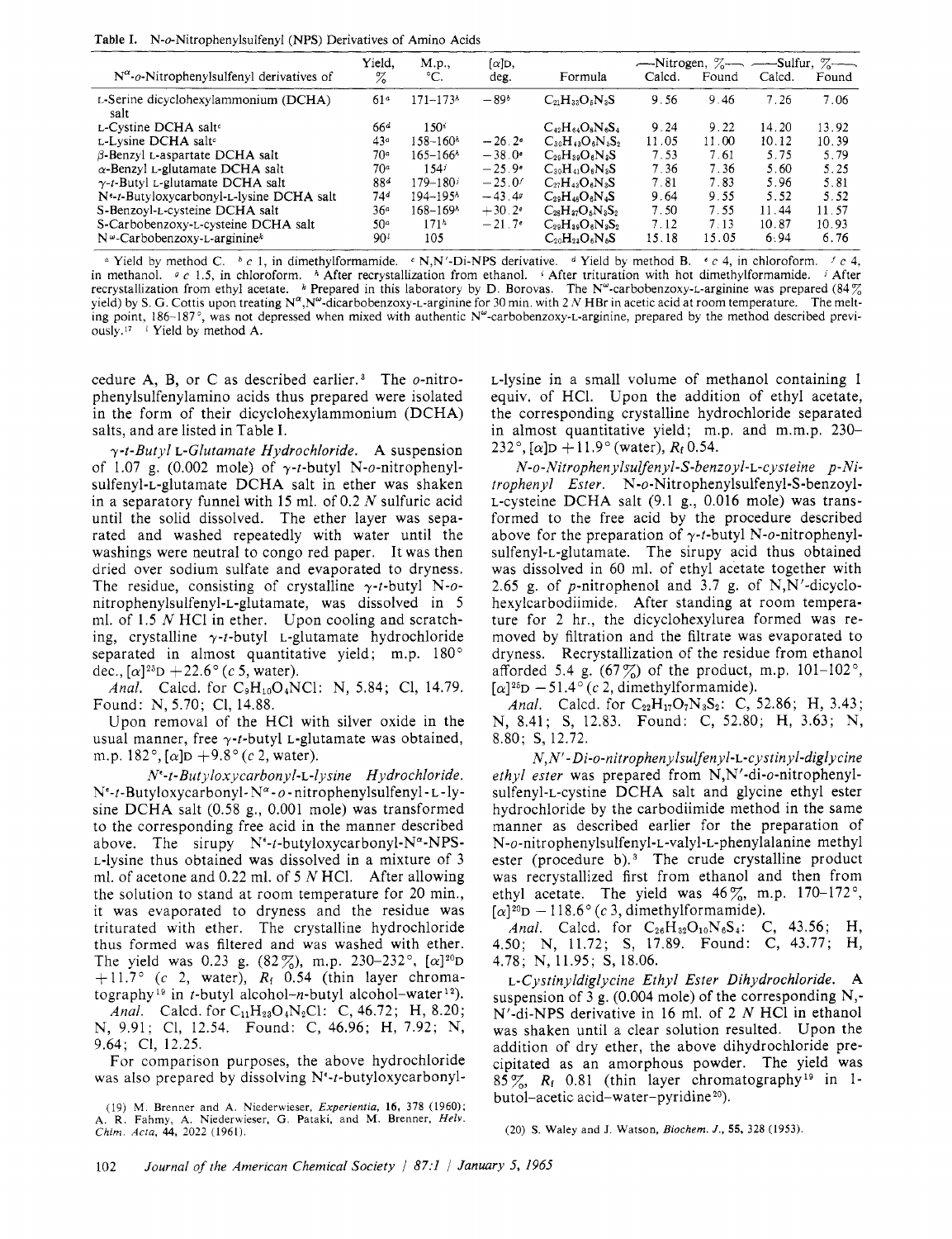Table **I.** N-o-Nitrophenylsulfenyl (NPS) Derivatives of Amino Acids

|                                                    | Yield,          | M.p.                     | $[\alpha]$ D,        |                           | $\sim$ -Nitrogen, $\%$ - $\sim$ $\sim$ -Sulfur, $\%$ - $\sim$ |       |        |       |
|----------------------------------------------------|-----------------|--------------------------|----------------------|---------------------------|---------------------------------------------------------------|-------|--------|-------|
| $N^{\alpha}$ -o-Nitrophenylsulfenyl derivatives of | z               | $^{\circ}C.$             | deg.                 | Formula                   | Calcd.                                                        | Found | Calcd. | Found |
| L-Serine dicyclohexylammonium (DCHA)<br>salt       | 61 <sup>a</sup> | $171 - 173$              | $-89b$               | $C_{21}H_{33}O_5N_3S$     | 9.56                                                          | 9.46  | 7.26   | 7.06  |
| L-Cystine DCHA salt <sup>o</sup>                   | 66ª             | $150^{\circ}$            |                      | $C_{42}H_{64}O_8N_6S_4$   | 9.24                                                          | 9.22  | 14.20  | 13.92 |
| L-Lysine DCHA salte                                | 43 <sup>a</sup> | $158 - 160h$             | $-26.2e$             | $C_{30}H_{43}O_6N_5S_2$   | 11.05                                                         | 11.00 | 10.12  | 10.39 |
| $\beta$ -Benzyl L-aspartate DCHA salt              | 70ª             | $165 - 166h$             | $-38.0o$             | $C_{29}H_{39}O_6N_3S$     | 7.53                                                          | 7.61  | 5.75   | 5.79  |
| $\alpha$ -Benzyl L-glutamate DCHA salt             | 70 <sup>a</sup> | 154i                     | $-25.9e$             | $C_{30}H_{41}O_6N_3S$     | 7.36                                                          | 7.36  | 5.60   | 5.25  |
| $\gamma$ -t-Butyl L-glutamate DCHA salt            | 88d             | $179 - 180i$             | $-25.0'$             | $C_{27}H_{43}O_6N_3S$     | 7.81                                                          | 7.83  | 5.96   | 5.81  |
| Ne-t-Butyloxycarbonyl-L-lysine DCHA salt           | 74ª             | $194 - 195h$             | $-43.49$             | $C_{29}H_{48}O_6N_4S$     | 9.64                                                          | 9.55  | 5.52   | 5.52  |
| S-Benzoyl-L-cysteine DCHA salt                     | 36 <sup>a</sup> | $168 - 169$ <sup>3</sup> | $+30.2$ <sup>e</sup> | $C_{28}H_{37}O_5N_3S_2$   | 7.50                                                          | 7.55  | 11.44  | 11.57 |
| S-Carbobenzoxy-L-cysteine DCHA salt                | 50 <sup>a</sup> | 171 <sup>h</sup>         | $-21.7$ <sup>e</sup> | $C_{29}H_{29}O_6N_3S_2$   | 7.12                                                          | 7:13  | 10.87  | 10.93 |
| $N^{\omega}$ -Carbobenzoxy-L-arginine <sup>k</sup> | 90 <sup>t</sup> | 105                      |                      | $\rm C_{20}H_{22}O_6N_6S$ | 15.18                                                         | 15.05 | 6.94   | 6.76  |

*a* Yield by method C. *b c* 1, in dimethylformamide. *c* N,N'-Di-NPS derivative. *d* Yield by method B. *c c* 4, in chloroform. *f c* 4, in methanol. *0* c 1.5, in chloroform. *h* After recrystallization from ethanol. \* After trituration with hot dimethylformamide. **7** After recrystallization from ethyl acetate. \* Prepared in this laboratory by D. Borovas. The N<sup>a</sup>-carbobenzoxy-L-arginine was prepared (84) yield) by *S. G.* Cottis upon treating **N",N"-dicarbobenzoxy-L-arginine** for 30 min. with 2 *N* HBr in acetic acid at room temperature. The melting point,  $186-187^\circ$ , was not depressed when mixed with authentic  $N^\circ$ -carbobenzoxy-L-arginine, prepared by the method described previ-0usIy.1~ **<sup>2</sup>**Yield by method A.

cedure A, B, or C as described earlier.<sup>3</sup> The  $o$ -nitrophenylsulfenylamino acids thus prepared were isolated in the form of their dicyclohexylammonium (DCHA) salts, and are listed in Table I.

 $\gamma$ -t-Butyl L-Glutamate Hydrochloride. A suspension of 1.07 g. (0.002 mole) of  $\gamma$ -t-butyl N-o-nitrophenylsulfenyl-L-glutamate DCHA salt in ether was shaken in a separatory funnel with 15 ml. of 0.2 *N* sulfuric acid until the solid dissolved. The ether layer was separated and washed repeatedly with water until the washings were neutral to congo red paper. It was then dried over sodium sulfate and evaporated to dryness. The residue, consisting of crystalline  $\gamma$ -t-butyl N-onitrophenylsulfenyl-L-glutamate, was dissolved in 5 ml. of 1.5 *N* HCl in ether. Upon cooling and scratching, crystalline  $\gamma$ -t-butyl L-glutamate hydrochloride separated in almost quantitative yield; m.p.  $180^\circ$ dec.,  $[\alpha]^{25}D + 22.6^{\circ}$  (c 5, water).

*Anal.* Calcd. for C<sub>9</sub>H<sub>10</sub>O<sub>4</sub>NCl: N, 5.84; Cl, 14.79. Found: N, 5.70; C1, 14.88.

Upon removal of the HC1 with silver oxide in the usual manner, free  $\gamma$ -t-butyl L-glutamate was obtained, m.p.  $182^{\circ}$ ,  $\alpha$   $\vert \rho + 9.8^{\circ}$  (c 2, water).

*N"-t-Butyloxycarbonyl-L-lysine* Hydrochloride. Ne-t-Butyloxycarbonyl- N"-o - **nitrophenylsulfenyl-L-ly**sine DCHA salt (0.58 g., 0.001 mole) was transformed to the corresponding free acid in the manner described above. The sirupy  $N^{\epsilon}$ -t-butyloxycarbonyl- $N^{\alpha}$ -NPS-L-lysine thus obtained was dissolved in a mixture of 3 ml. of acetone and 0.22 ml. of 5 *N* HC1. After allowing the solution to stand at room temperature for 20 min., it was evaporated to dryness and the residue was triturated with ether. The crystalline hydrochloride thus formed was filtered and was washed with ether. The yield was 0.23 g.  $(82\%)$ , m.p. 230–232°,  $[\alpha]^{20}D$  $+ 11.7$ ° (c 2, water),  $R_f$  0.54 (thin layer chromatography<sup>19</sup> in t-butyl alcohol-n-butyl alcohol-water<sup>12</sup>). *Anal.* Calcd. for C<sub>11</sub>H<sub>23</sub>O<sub>4</sub>N<sub>2</sub>Cl: C, 46.72; H, 8.20; N, 9.91; C1, 12.54. Found: C, 46.96; H, 7.92; N, 9.64; C1, 12.25.

For comparison purposes, the above hydrochloride was also prepared by dissolving Ne-t-butyloxycarbonyl-

L-lysine in a small volume of methanol containing 1 equiv. of HC1. Upon the addition of ethyl acetate, the corresponding crystalline hydrochloride separated in almost quantitative yield; m.p. and m.m.p. 230-  $232^{\circ}$ , [ $\alpha$ ]D + 11.9° (water),  $R_f$  0.54.

*N-o-Nitrophenylsulfenyl-S-benzoyl-L-cysteine* p-Nitrophenyl Ester. **N-o-Nitrophenylsulfenyl-S-benzoyl-**L-cysteine DCHA salt (9.1 g., 0.016 mole) was transformed to the free acid by the procedure described above for the preparation of  $\gamma$ -t-butyl N-o-nitrophenylsulfenyl-L-glutamate. The sirupy acid thus obtained was dissolved in 60 ml. of ethyl acetate together with 2.65 g. of p-nitrophenol and 3.7 g. of N,N'-dicyclohexylcarbodiimide. After standing at room temperature for 2 hr., the dicyclohexylurea formed was removed by filtration and the filtrate was evaporated to dryness. Recrystallization of the residue from ethanol afforded 5.4 g.  $(67\%)$  of the product, m.p. 101-102°,  $\lceil \alpha \rceil^{25}D - 51.4^{\circ}$  (c 2, dimethylformamide).

*Anal.* Calcd. for  $C_{22}H_{17}O_7N_3S_2$ : C, 52.86; H, 3.43; N, 8.41; S, 12.83. Found: C, 52.80; H, 3.63; N, 8.80; S, 12.72.

*N, N'- Di-o-nitrophenylsulfenyl-L-cystinyl-diglycine*  ethyl ester was prepared from N,N'-di-o-nitrophenylsulfenyl-L-cystine DCHA salt and glycine ethyl ester hydrochloride by the carbodiimide method in the same manner as described earlier for the preparation of **N-o-nitrophenylsulfenyl-L-valyl-L-phenylalanine** methyl ester (procedure b).<sup>3</sup> The crude crystalline product was recrystallized first from ethanol and then from ethyl acetate. The yield was  $46\%$ , m.p.  $170-172^{\circ}$ ,  $[\alpha]^{20}D - 118.6^{\circ}$  (c 3, dimethylformamide).

*Anal.* Calcd. for  $C_{26}H_{32}O_{10}N_6S_4$ : C, 43.56; H, 4.50; N, 11.72; S, 17.89. Found: C, 43.77; H, 4.78; N, 11.95; S, 18.06.

L-Cystinyldiglycine Ethyl Ester Dihydrochloride. A suspension of 3 g. (0.004 mole) of the corresponding N,- N'-di-NPS derivative in 16 ml. of 2 *N* HC1 in ethanol was shaken until a clear solution resulted. Upon the addition of dry ether, the above dihydrochloride precipitated as an amorphous powder. The yield was  $85\%$ ,  $R_f$  0.81 (thin layer chromatography<sup>19</sup> in 1butol-acetic acid-water-pyridine<sup>20</sup>).

**(20) S.** Waley and J. Watson, *Biochem. J.,* **55, 328** (1953).

<sup>(19)</sup> M. Brenner and **A.** Niederwieser, *Experientia,* **16,** 378 (1960); **A.** R. Fahmy, **A.** Niederwieser, *G.* Pataki, and **M.** Brenner, *Helv. Chim. Acta,* **44,** *2022* (1961).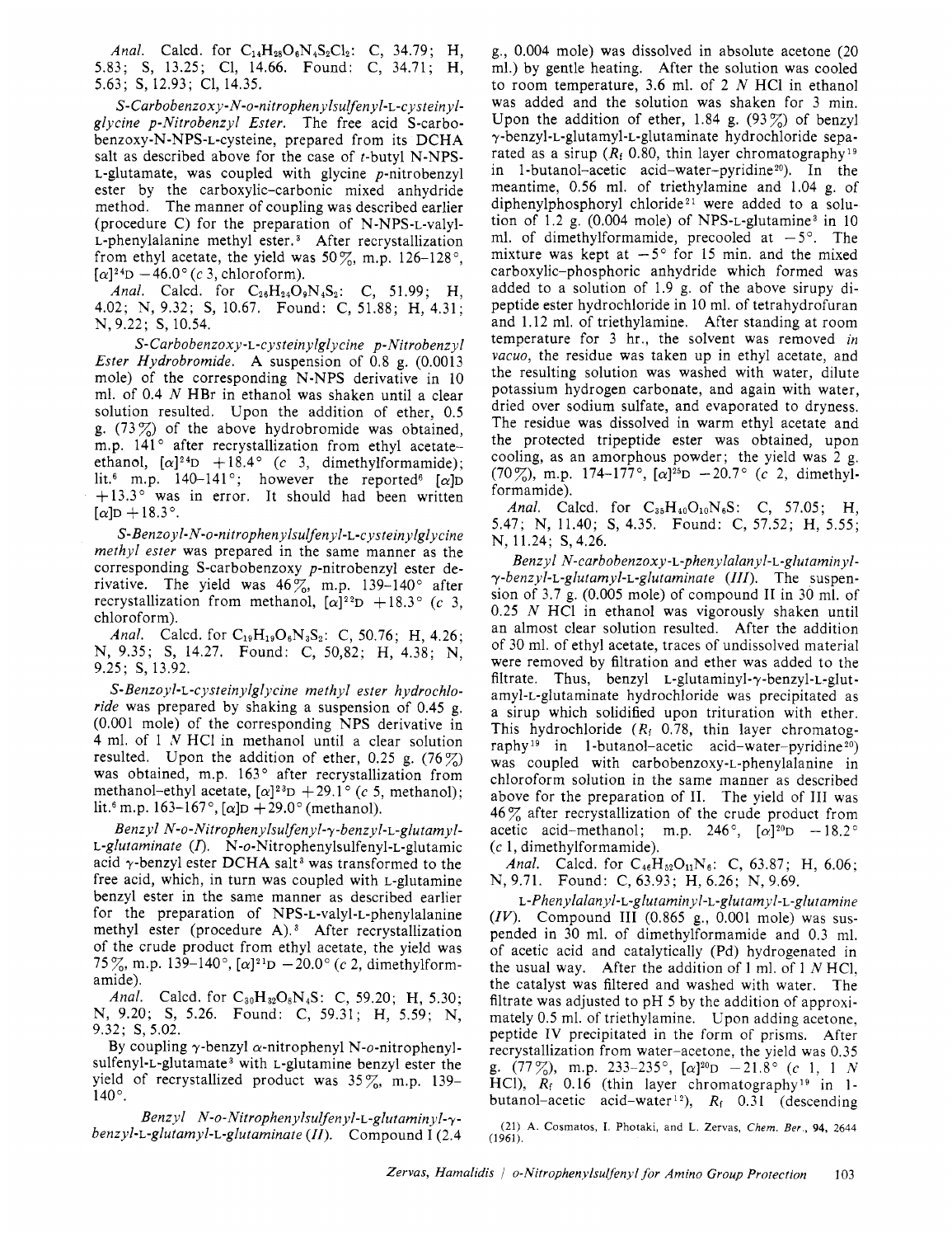Anal. Calcd. for  $C_{14}H_{28}O_6N_4S_2Cl_2$ : C, 34.79; H, 5.83; S, 13.25; C1, 14.66. Found: C, 34.71; H, 5.63; S, 12.93; C1, 14.35.

S- Carbobenzox *y-* N-o-nitrophen y lsulfen yl-L-cystein *yl*glycine p-Nitrobenzyl Ester. The free acid S-carbobenzoxy-N-NPS-L-cysteine, prepared from its DCHA salt as described above for the case of  $t$ -butyl N-NPS-L-glutamate, was coupled with glycine p-nitrobenzyl ester by the carboxylic-carbonic mixed anhydride method. The manner of coupling was described earlier (procedure C) for the preparation of N-NPS-L-valyl-L-phenylalanine methyl ester.<sup>3</sup> After recrystallization from ethyl acetate, the yield was  $50\%$ , m.p.  $126-128^{\circ}$ ,  $[\alpha]^{24}D -46.0^{\circ}$  (c 3, chloroform).

Anal. Calcd. for  $C_{26}H_{24}O_9N_4S_2$ : C, 51.99; H, 4.02; N, 9.32; S, 10.67. Found: C, 51.88; H, 4.31; N, 9.22; S, 10.54.

*S-Carbobenzoxy-L-cysteinylglycine* p-Nitrobenzyl Ester Hydrobromide. A suspension of 0.8 g. (0.0013 mole) of the corresponding N-NPS derivative in 10 ml. of 0.4  $N$  HBr in ethanol was shaken until a clear solution resulted. Upon the addition of ether, 0.5 g. (73 $\%$ ) of the above hydrobromide was obtained, m.p. 141° after recrystallization from ethyl acetateethanol,  $[\alpha]^{24}D + 18.4^{\circ}$  (c 3, dimethylformamide); lit.<sup>6</sup> m.p. 140-141°; however the reported<sup>6</sup> [ $\alpha$ ]D  $+13.3$ ° was in error. It should had been written  $[\alpha]$ D + 18.3°.

*S-Benzoyl-N-o-nitrophenylsulfenyl-L-cysteinylglycine*  methyl ester was prepared in the same manner as the corresponding S-carbobenzoxy p-nitrobenzyl ester derivative. The yield was  $46\%$ , m.p. 139–140 $^{\circ}$  after recrystallization from methanol,  $[\alpha]^{22}D + 18.3^{\circ}$  (c 3, chloroform).

Anal. Calcd. for  $C_{19}H_{19}O_6N_3S_2$ : C, 50.76; H, 4.26; N, 9.35; S, 14.27. Found: C, 50,82; H, 4.38; N, 9.25; *S,* 13.92.

*S-Benzoyl-L-cysteinylglycine* methyl ester hydrochloride was prepared by shaking a suspension of 0.45 g. (0,001 mole) of the corresponding NPS derivative in 4 ml. of 1 **N** HCl in methanol until a clear solution resulted. Upon the addition of ether, 0.25 g.  $(76\%)$ was obtained, m.p. 163° after recrystallization from methanol-ethyl acetate,  $[\alpha]^{23}D + 29.1^{\circ}$  (c 5, methanol); lit.<sup>6</sup> m.p. 163–167°,  $[\alpha]D + 29.0$ ° (methanol).

Benzyl *N-o-Nitrophenylsulfenyl-7-benzyl-L-glutamyl-*L-glutaminate *(0.* **N-o-Nitrophenylsulfenyl-L-glutamic**  acid  $\gamma$ -benzyl ester DCHA salt<sup>3</sup> was transformed to the free acid, which, in turn was coupled with L-glutamine benzyl ester in the same manner as described earlier for the preparation of NPS-L-valyl-L-phenylalanine methyl ester (procedure A).<sup>3</sup> After recrystallization of the crude product from ethyl acetate, the yield was 75%, m.p. 139-140°,  $[\alpha]^{21}D - 20.0^{\circ}$  (c 2, dimethylformamide).

Anal. Calcd. for  $C_{30}H_{32}O_8N_4S$ : C, 59.20; H, 5.30; N, 9.20; S, 5.26. Found: C, 59.31; H, 5.59; N, 9.32; S, 5.02.

By coupling  $\gamma$ -benzyl  $\alpha$ -nitrophenyl N-*o*-nitrophenylsulfenyl-L-glutamate<sup>3</sup> with L-glutamine benzyl ester the yield of recrystallized product was 35%, m.p. 139-  $140^{\circ}$ .

Benzyl *N-o-Nitrophenylsulfenyl-L-gIutaminyl-7*  benzyl-L-glutamyl-L-glutaminate (II). Compound I (2.4)

g., 0.004 mole) was dissolved in absolute acetone (20 ml.) by gentle heating. After the solution was cooled to room temperature, 3.6 ml. of 2  $N$  HCl in ethanol was added and the solution was shaken for 3 min. Upon the addition of ether, 1.84 g.  $(93\%)$  of benzyl 7-benzyl-L-glutamyl-L-glutaminate hydrochloride separated as a sirup ( $R_f$  0.80, thin layer chromatography<sup>19</sup> in 1-butanol-acetic acid-water-pyridine<sup>20</sup>). In the meantime, 0.56 ml. of triethylamine and 1.04 g. of diphenylphosphoryl chloride<sup>21</sup> were added to a solution of 1.2 g.  $(0.004 \text{ mole})$  of NPS-L-glutamine<sup>3</sup> in 10 ml. of dimethylformamide, precooled at  $-5^\circ$ . The mixture was kept at  $-5^{\circ}$  for 15 min. and the mixed carboxylic-phosphoric anhydride which formed was added to a solution of 1.9 g. of the above sirupy dipeptide ester hydrochloride in 10 ml. of tetrahydrofuran and 1.12 ml. of triethylamine. After standing at room temperature for 3 hr., the solvent was removed *in*  vacuo, the residue was taken up in ethyl acetate, and the resulting solution was washed with water, dilute potassium hydrogen carbonate, and again with water, dried over sodium sulfate, and evaporated to dryness. The residue was dissolved in warm ethyl acetate and the protected tripeptide ester was obtained, upon cooling, as an amorphous powder; the yield was 2 g. (70%), m.p. 174-177°,  $[\alpha]^{25}D -20.7$ ° (c 2, dimethylformamide).

Anal. Calcd. for  $C_{35}H_{40}O_{10}N_6S$ : C, 57.05; H, 5.47; N, 11.40; S, 4.35. Found: C, 57.52; H, 5.55; N, 11.24; S, 4.26.

Benzyl *N-carbobenzoxy-L-phenylalanyl-L-glutaminyl-* $\gamma$ -benzyl-L-glutamyl-L-glutaminate *(III)*. The suspension of 3.7 g. (0.005 mole) of compound I1 in 30 ml. of 0.25  $N$  HCl in ethanol was vigorously shaken until an almost clear solution resulted. After the addition of 30 ml. of ethyl acetate, traces of undissolved material were removed by filtration and ether was added to the filtrate. Thus, benzyl L-glutaminyl- $\gamma$ -benzyl-L-glutamyl-L-glutaminate hydrochloride was precipitated as a sirup which solidified upon trituration with ether. This hydrochloride *(Ri* 0.78, thin layer chromatography<sup>19</sup> in 1-butanol-acetic acid-water-pyridine<sup>20</sup>) was coupled with **carbobenzoxy-L-phenylalanine** in chloroform solution in the same manner as described above for the preparation of 11. The yield of I11 was  $46\%$  after recrystallization of the crude product from acetic acid-methanol; m.p. 246°,  $[\alpha]^{20}D - 18.2$ ° (c 1, dimethylformamide).

Anal. Calcd. for  $C_{46}H_{52}O_{11}N_6$ : C, 63.87; H, 6.06; N, 9.71. Found: C, 63.93; H, 6.26; N, 9.69.

*L-Phenylalanyl-L-glutamin yl-L-glutamyl-L-glutamine (IV).* Compound I11 (0.865 g., 0.001 mole) was suspended in 30 ml. of dimethylformamide and 0.3 ml. of acetic acid and catalytically (Pd) hydrogenated in the usual way. After the addition of 1 ml. of 1  $N$  HCl, the catalyst was filtered and washed with water. The filtrate was adjusted to pH 5 by the addition of approximately 0.5 ml. of triethylamine. Upon adding acetone, peptide IV precipitated in the form of prisms. After recrystallization from water-acetone, the yield was 0.35 HCl),  $R_f$  0.16 (thin layer chromatography<sup>19</sup> in 1butanol-acetic acid-water<sup>12</sup>),  $R_f$  0.31 (descending g.  $(77\%)$ , m.p. 233-235°,  $[\alpha]^{20}D -21.8$ ° (c 1, 1 *N* 

**(21) A** Cosmatos, **I** Photaki, and L Zervas, *Chem Ber* , **94,** 2644  $(1961).$